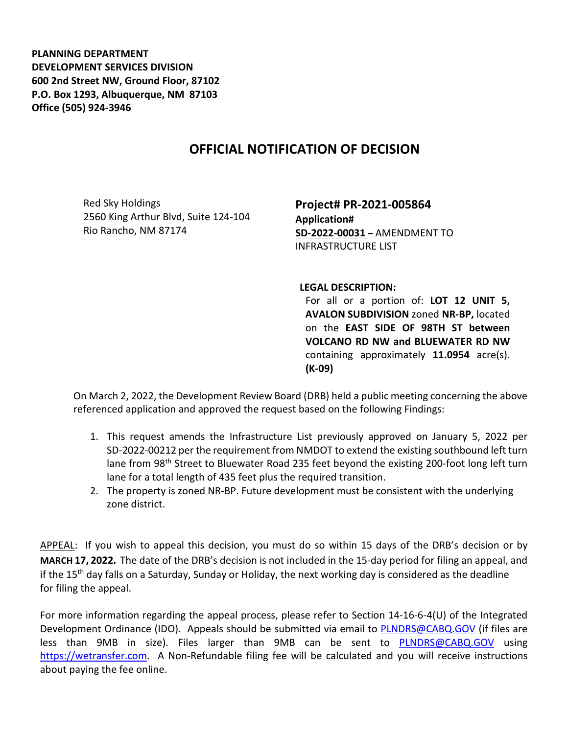**PLANNING DEPARTMENT DEVELOPMENT SERVICES DIVISION 600 2nd Street NW, Ground Floor, 87102 P.O. Box 1293, Albuquerque, NM 87103 Office (505) 924-3946** 

## **OFFICIAL NOTIFICATION OF DECISION**

Red Sky Holdings 2560 King Arthur Blvd, Suite 124-104 Rio Rancho, NM 87174

**Project# PR-2021-005864 Application# SD-2022-00031 –** AMENDMENT TO INFRASTRUCTURE LIST

**LEGAL DESCRIPTION:**

For all or a portion of: **LOT 12 UNIT 5, AVALON SUBDIVISION** zoned **NR-BP,** located on the **EAST SIDE OF 98TH ST between VOLCANO RD NW and BLUEWATER RD NW**  containing approximately **11.0954** acre(s). **(K-09)**

On March 2, 2022, the Development Review Board (DRB) held a public meeting concerning the above referenced application and approved the request based on the following Findings:

- 1. This request amends the Infrastructure List previously approved on January 5, 2022 per SD-2022-00212 per the requirement from NMDOT to extend the existing southbound left turn lane from 98<sup>th</sup> Street to Bluewater Road 235 feet beyond the existing 200-foot long left turn lane for a total length of 435 feet plus the required transition.
- 2. The property is zoned NR-BP. Future development must be consistent with the underlying zone district.

APPEAL: If you wish to appeal this decision, you must do so within 15 days of the DRB's decision or by **MARCH 17, 2022.** The date of the DRB's decision is not included in the 15-day period for filing an appeal, and if the 15<sup>th</sup> day falls on a Saturday, Sunday or Holiday, the next working day is considered as the deadline for filing the appeal.

For more information regarding the appeal process, please refer to Section 14-16-6-4(U) of the Integrated Development Ordinance (IDO). Appeals should be submitted via email to [PLNDRS@CABQ.GOV](mailto:PLNDRS@CABQ.GOV) (if files are less than 9MB in size). Files larger than 9MB can be sent to [PLNDRS@CABQ.GOV](mailto:PLNDRS@CABQ.GOV) using [https://wetransfer.com.](https://wetransfer.com/) A Non-Refundable filing fee will be calculated and you will receive instructions about paying the fee online.